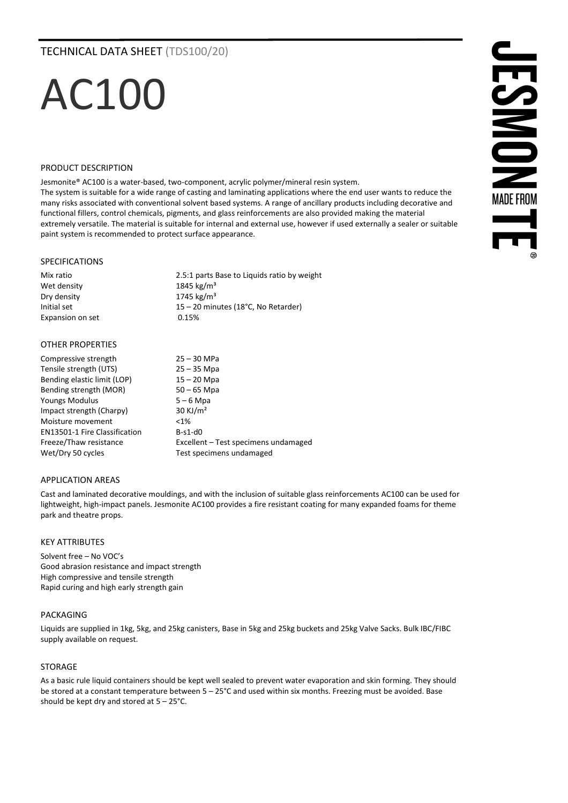# TECHNICAL DATA SHEET (TDS100/20)

# AC100

#### PRODUCT DESCRIPTION

Jesmonite® AC100 is a water-based, two-component, acrylic polymer/mineral resin system.

The system is suitable for a wide range of casting and laminating applications where the end user wants to reduce the many risks associated with conventional solvent based systems. A range of ancillary products including decorative and functional fillers, control chemicals, pigments, and glass reinforcements are also provided making the material extremely versatile. The material is suitable for internal and external use, however if used externally a sealer or suitable paint system is recommended to protect surface appearance.

# SPECIFICATIONS

Wet density Dry density 1745 kg/m<sup>3</sup> Expansion on set 0.15%

Mix ratio 2.5:1 parts Base to Liquids ratio by weight<br>
2.5:1 parts Base to Liquids ratio by weight<br>
2.845 kg/m<sup>3</sup> Initial set 15 – 20 minutes (18°C, No Retarder)

# OTHER PROPERTIES

| Compressive strength                 | $25 - 30$ MPa                        |
|--------------------------------------|--------------------------------------|
| Tensile strength (UTS)               | $25 - 35$ Mpa                        |
| Bending elastic limit (LOP)          | $15 - 20$ Mpa                        |
| Bending strength (MOR)               | $50 - 65$ Mpa                        |
| <b>Youngs Modulus</b>                | $5 - 6$ Mpa                          |
| Impact strength (Charpy)             | $30$ KJ/m <sup>2</sup>               |
| Moisture movement                    | $< 1\%$                              |
| <b>EN13501-1 Fire Classification</b> | $B-S1-d0$                            |
| Freeze/Thaw resistance               | Excellent – Test specimens undamaged |
| Wet/Dry 50 cycles                    | Test specimens undamaged             |

# APPLICATION AREAS

Cast and laminated decorative mouldings, and with the inclusion of suitable glass reinforcements AC100 can be used for lightweight, high-impact panels. Jesmonite AC100 provides a fire resistant coating for many expanded foams for theme park and theatre props.

# KEY ATTRIBUTES

Solvent free – No VOC's Good abrasion resistance and impact strength High compressive and tensile strength Rapid curing and high early strength gain

# PACKAGING

Liquids are supplied in 1kg, 5kg, and 25kg canisters, Base in 5kg and 25kg buckets and 25kg Valve Sacks. Bulk IBC/FIBC supply available on request.

# STORAGE

As a basic rule liquid containers should be kept well sealed to prevent water evaporation and skin forming. They should be stored at a constant temperature between 5 – 25°C and used within six months. Freezing must be avoided. Base should be kept dry and stored at 5 – 25°C.